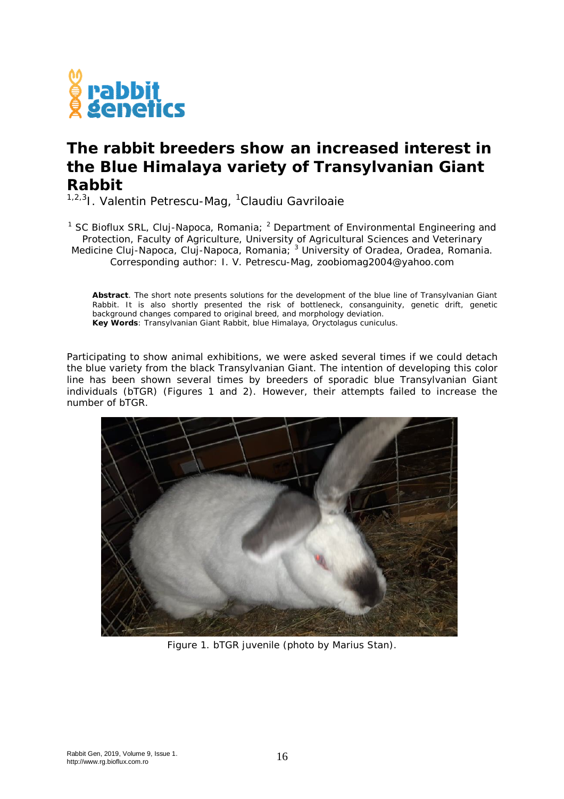

## **The rabbit breeders show an increased interest in the Blue Himalaya variety of Transylvanian Giant Rabbit**

<sup>1,2,3</sup>I. Valentin Petrescu-Mag, <sup>1</sup>Claudiu Gavriloaie

<sup>1</sup> SC Bioflux SRL, Cluj-Napoca, Romania;  $^2$  Department of Environmental Engineering and Protection, Faculty of Agriculture, University of Agricultural Sciences and Veterinary Medicine Cluj-Napoca, Cluj-Napoca, Romania; <sup>3</sup> University of Oradea, Oradea, Romania. Corresponding author: I. V. Petrescu-Mag, zoobiomag2004@yahoo.com

**Abstract**. The short note presents solutions for the development of the blue line of Transylvanian Giant Rabbit. It is also shortly presented the risk of bottleneck, consanguinity, genetic drift, genetic background changes compared to original breed, and morphology deviation. **Key Words**: Transylvanian Giant Rabbit, blue Himalaya, *Oryctolagus cuniculus*.

Participating to show animal exhibitions, we were asked several times if we could detach the blue variety from the black Transylvanian Giant. The intention of developing this color line has been shown several times by breeders of sporadic blue Transylvanian Giant individuals (bTGR) (Figures 1 and 2). However, their attempts failed to increase the number of bTGR.



Figure 1. bTGR juvenile (photo by Marius Stan).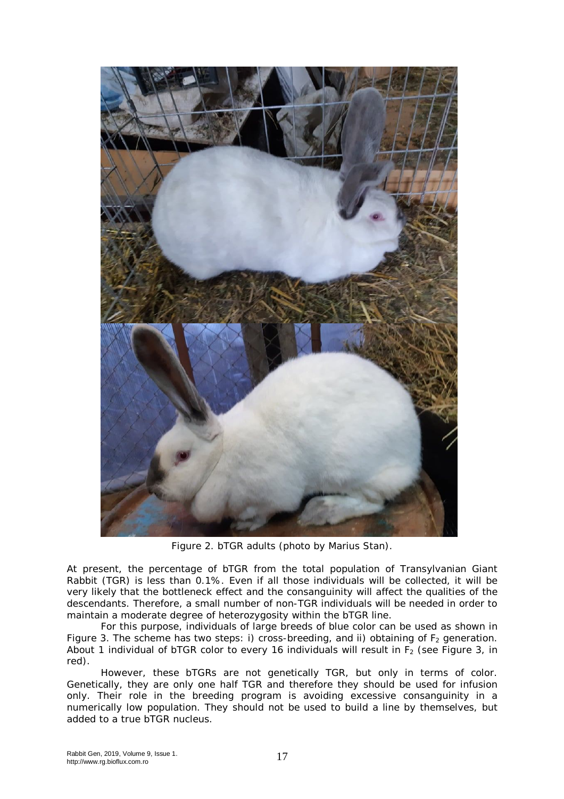

Figure 2. bTGR adults (photo by Marius Stan).

At present, the percentage of bTGR from the total population of Transylvanian Giant Rabbit (TGR) is less than 0.1%. Even if all those individuals will be collected, it will be very likely that the bottleneck effect and the consanguinity will affect the qualities of the descendants. Therefore, a small number of non-TGR individuals will be needed in order to maintain a moderate degree of heterozygosity within the bTGR line.

For this purpose, individuals of large breeds of blue color can be used as shown in Figure 3. The scheme has two steps: i) cross-breeding, and ii) obtaining of  $F_2$  generation. About 1 individual of bTGR color to every 16 individuals will result in  $F_2$  (see Figure 3, in red).

However, these bTGRs are not genetically TGR, but only in terms of color. Genetically, they are only one half TGR and therefore they should be used for infusion only. Their role in the breeding program is avoiding excessive consanguinity in a numerically low population. They should not be used to build a line by themselves, but added to a true bTGR nucleus.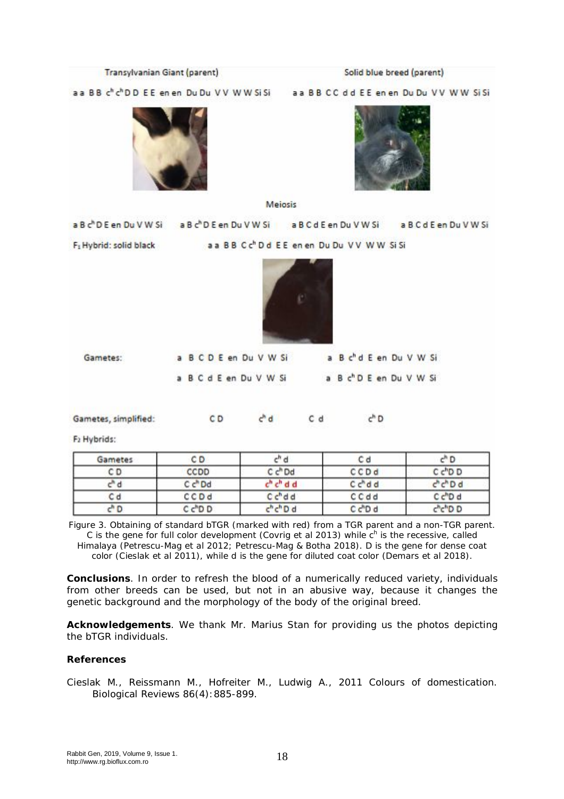| Transylvanian Giant (parent)                                            |                                                                                                                       | Solid blue breed (parent) |                                                     |                                               |
|-------------------------------------------------------------------------|-----------------------------------------------------------------------------------------------------------------------|---------------------------|-----------------------------------------------------|-----------------------------------------------|
| a a B B c <sup>h</sup> c <sup>h</sup> D D E E en en Du Du V V W W Si Si |                                                                                                                       |                           |                                                     | a a B B C C d d E E en en Du Du V V W W Si Si |
|                                                                         |                                                                                                                       | <b>Mejosis</b>            |                                                     |                                               |
|                                                                         | a B c <sup>h</sup> D E en Du V W Si a B c <sup>h</sup> D E en Du V W Si a B C d E en Du V W Si a B C d E en Du V W Si |                           |                                                     |                                               |
| F <sub>1</sub> Hybrid: solid black                                      |                                                                                                                       |                           | aa BB Cc <sup>h</sup> Dd EE en en Du Du VV WW Si Si |                                               |
| Gametes:                                                                | a B C D E en Du V W Si                                                                                                |                           | a B c'd E en Du V W Si                              |                                               |
|                                                                         |                                                                                                                       |                           |                                                     |                                               |
|                                                                         | a B C d E en Du V W Si                                                                                                |                           | a B c <sup>h</sup> D E en Du V W Si                 |                                               |
| Gametes, simplified:                                                    | CD                                                                                                                    | $c^h$ d<br>Cd             | $c^hD$                                              |                                               |
| F2 Hybrids:                                                             |                                                                                                                       |                           |                                                     |                                               |
| Gametes                                                                 | CD                                                                                                                    | $c^h$ d                   | Cd                                                  | $c^hD$                                        |
| CD                                                                      | CCDD                                                                                                                  | C c <sup>h</sup> Dd       | CCDd                                                | C c <sup>h</sup> D D                          |
| c <sup>h</sup> d                                                        | C <sup>h</sup> Dd                                                                                                     | $ch ch$ d d               | C c <sup>h</sup> d d                                | c <sup>h</sup> chDd                           |
| C d                                                                     | CCDd                                                                                                                  | $Ch$ d d                  | CCdd                                                | C c <sup>h</sup> D d                          |
| $c^h D$                                                                 | Cc <sup>h</sup> D                                                                                                     | $chchD$ d                 | C c <sup>h</sup> D d                                | chchDD                                        |

Himalaya (Petrescu-Mag et al 2012; Petrescu-Mag & Botha 2018). D is the gene for dense coat color (Cieslak et al 2011), while d is the gene for diluted coat color (Demars et al 2018).

**Conclusions**. In order to refresh the blood of a numerically reduced variety, individuals from other breeds can be used, but not in an abusive way, because it changes the genetic background and the morphology of the body of the original breed.

**Acknowledgements**. We thank Mr. Marius Stan for providing us the photos depicting the bTGR individuals.

## **References**

Cieslak M., Reissmann M., Hofreiter M., Ludwig A., 2011 Colours of domestication. Biological Reviews 86(4):885-899.